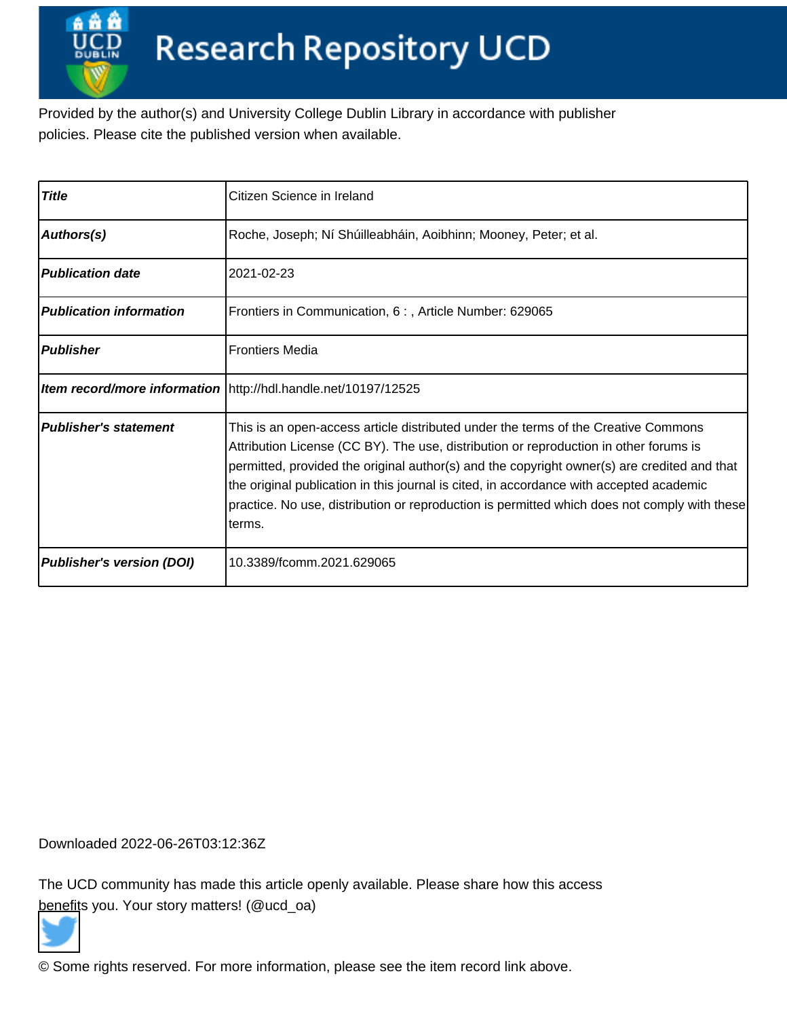Provided by the author(s) and University College Dublin Library in accordance with publisher policies. Please cite the published version when available.

| <b>Title</b>                     | Citizen Science in Ireland                                                                                                                                                                                                                                                                                                                                                                                                                                                       |
|----------------------------------|----------------------------------------------------------------------------------------------------------------------------------------------------------------------------------------------------------------------------------------------------------------------------------------------------------------------------------------------------------------------------------------------------------------------------------------------------------------------------------|
| Authors(s)                       | Roche, Joseph; Ní Shúilleabháin, Aoibhinn; Mooney, Peter; et al.                                                                                                                                                                                                                                                                                                                                                                                                                 |
| <b>Publication date</b>          | 2021-02-23                                                                                                                                                                                                                                                                                                                                                                                                                                                                       |
| <b>Publication information</b>   | Frontiers in Communication, 6:, Article Number: 629065                                                                                                                                                                                                                                                                                                                                                                                                                           |
| <b>Publisher</b>                 | <b>Frontiers Media</b>                                                                                                                                                                                                                                                                                                                                                                                                                                                           |
|                                  | <b>Item record/more information</b> http://hdl.handle.net/10197/12525                                                                                                                                                                                                                                                                                                                                                                                                            |
| <b>Publisher's statement</b>     | This is an open-access article distributed under the terms of the Creative Commons<br>Attribution License (CC BY). The use, distribution or reproduction in other forums is<br>permitted, provided the original author(s) and the copyright owner(s) are credited and that<br>the original publication in this journal is cited, in accordance with accepted academic<br>practice. No use, distribution or reproduction is permitted which does not comply with these<br>lterms. |
| <b>Publisher's version (DOI)</b> | 10.3389/fcomm.2021.629065                                                                                                                                                                                                                                                                                                                                                                                                                                                        |

Downloaded 2022-06-26T03:12:36Z

The UCD community has made this article openly available. Please share how this access [benefit](https://twitter.com/intent/tweet?via=ucd_oa&text=DOI%3A10.3389%2Ffcomm.2021.629065&url=http%3A%2F%2Fhdl.handle.net%2F10197%2F12525)s you. Your story matters! (@ucd\_oa)



© Some rights reserved. For more information, please see the item record link above.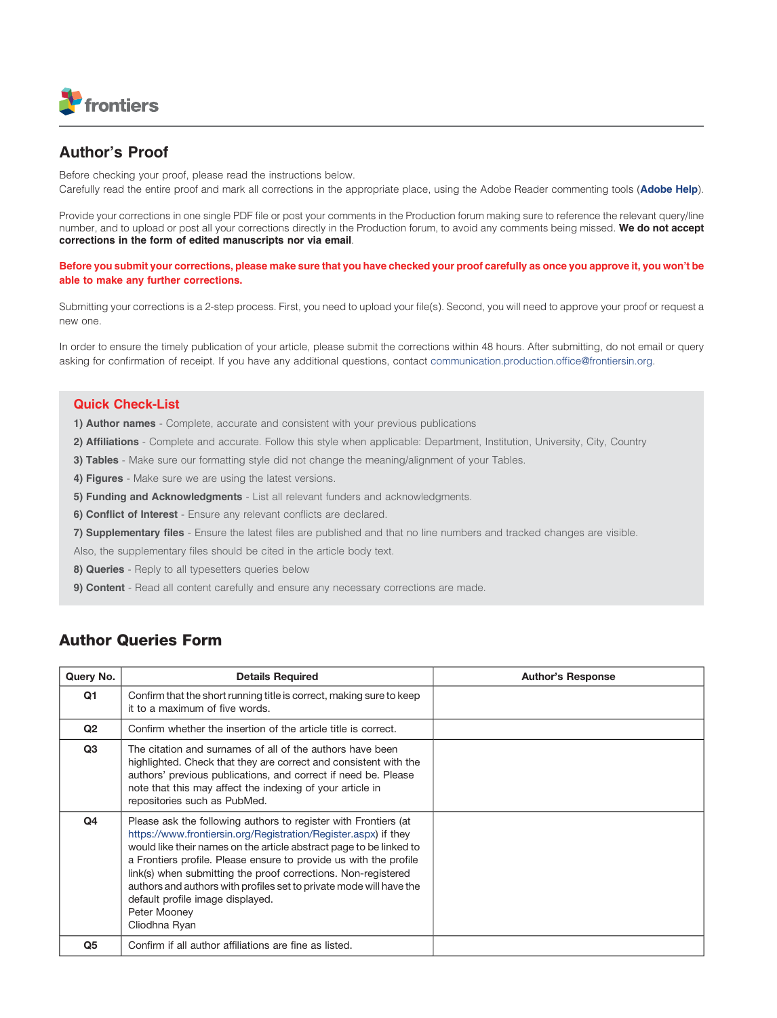

## Author's Proof

Before checking your proof, please read the instructions below. Carefully read the entire proof and mark all corrections in the appropriate place, using the Adobe Reader commenting tools ([Adobe Help](https://helpx.adobe.com/acrobat/using/mark-text-edits.html)).

Provide your corrections in one single PDF file or post your comments in the Production forum making sure to reference the relevant query/line number, and to upload or post all your corrections directly in the Production forum, to avoid any comments being missed. We do not accept corrections in the form of edited manuscripts nor via email.

Before you submit your corrections, please make sure that you have checked your proof carefully as once you approve it, you won't be able to make any further corrections.

Submitting your corrections is a 2-step process. First, you need to upload your file(s). Second, you will need to approve your proof or request a new one.

In order to ensure the timely publication of your article, please submit the corrections within 48 hours. After submitting, do not email or query asking for confirmation of receipt. If you have any additional questions, contact [communication.production.of](http://communication.production.office@frontiersin.org)fice@frontiersin.org.

#### Quick Check-List

- 1) Author names Complete, accurate and consistent with your previous publications
- 2) Affiliations Complete and accurate. Follow this style when applicable: Department, Institution, University, City, Country
- 3) Tables Make sure our formatting style did not change the meaning/alignment of your Tables.
- 4) Figures Make sure we are using the latest versions.
- 5) Funding and Acknowledgments List all relevant funders and acknowledgments.
- 6) Conflict of Interest Ensure any relevant conflicts are declared.
- 7) Supplementary files Ensure the latest files are published and that no line numbers and tracked changes are visible.
- Also, the supplementary files should be cited in the article body text.
- 8) **Queries** Reply to all typesetters queries below
- 9) Content Read all content carefully and ensure any necessary corrections are made.

## Author Queries Form

| Query No.      | <b>Details Required</b>                                                                                                                                                                                                                                                                                                                                                                                                                                                                     | <b>Author's Response</b> |
|----------------|---------------------------------------------------------------------------------------------------------------------------------------------------------------------------------------------------------------------------------------------------------------------------------------------------------------------------------------------------------------------------------------------------------------------------------------------------------------------------------------------|--------------------------|
| Q1             | Confirm that the short running title is correct, making sure to keep<br>it to a maximum of five words.                                                                                                                                                                                                                                                                                                                                                                                      |                          |
| Q <sub>2</sub> | Confirm whether the insertion of the article title is correct.                                                                                                                                                                                                                                                                                                                                                                                                                              |                          |
| Q <sub>3</sub> | The citation and surnames of all of the authors have been<br>highlighted. Check that they are correct and consistent with the<br>authors' previous publications, and correct if need be. Please<br>note that this may affect the indexing of your article in<br>repositories such as PubMed.                                                                                                                                                                                                |                          |
| Q4             | Please ask the following authors to register with Frontiers (at<br>https://www.frontiersin.org/Registration/Register.aspx) if they<br>would like their names on the article abstract page to be linked to<br>a Frontiers profile. Please ensure to provide us with the profile<br>link(s) when submitting the proof corrections. Non-registered<br>authors and authors with profiles set to private mode will have the<br>default profile image displayed.<br>Peter Mooney<br>Cliodhna Ryan |                          |
| Q5             | Confirm if all author affiliations are fine as listed.                                                                                                                                                                                                                                                                                                                                                                                                                                      |                          |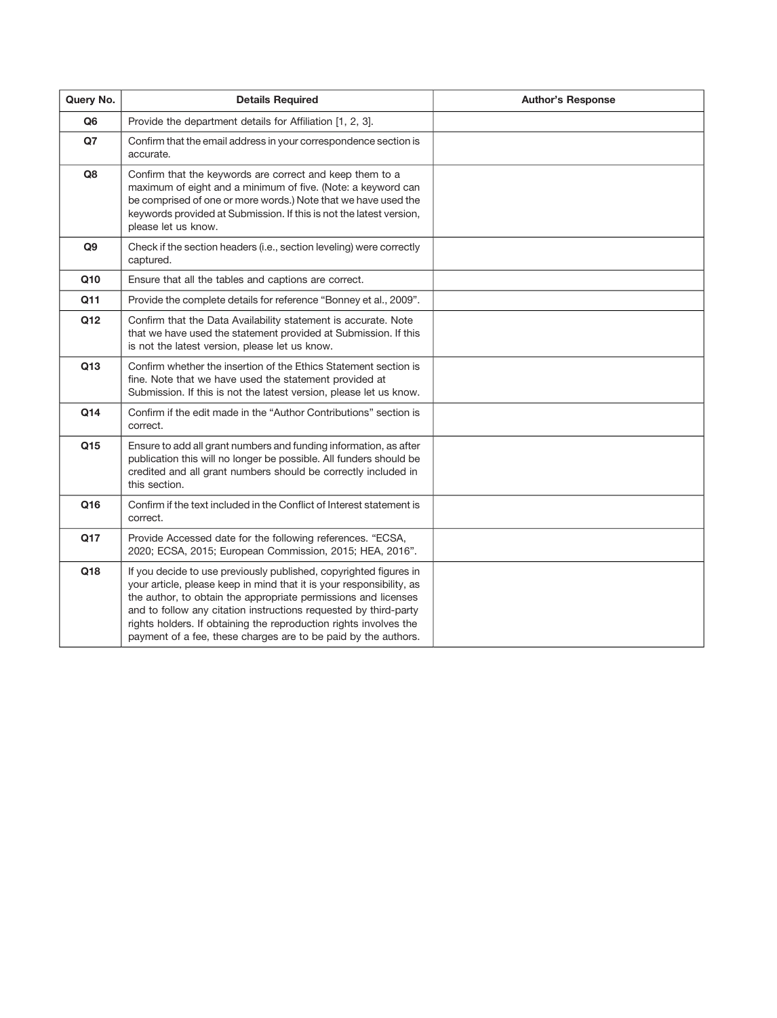| Query No. | <b>Details Required</b>                                                                                                                                                                                                                                                                                                                                                                                                | <b>Author's Response</b> |
|-----------|------------------------------------------------------------------------------------------------------------------------------------------------------------------------------------------------------------------------------------------------------------------------------------------------------------------------------------------------------------------------------------------------------------------------|--------------------------|
| Q6        | Provide the department details for Affiliation [1, 2, 3].                                                                                                                                                                                                                                                                                                                                                              |                          |
| Q7        | Confirm that the email address in your correspondence section is<br>accurate.                                                                                                                                                                                                                                                                                                                                          |                          |
| Q8        | Confirm that the keywords are correct and keep them to a<br>maximum of eight and a minimum of five. (Note: a keyword can<br>be comprised of one or more words.) Note that we have used the<br>keywords provided at Submission. If this is not the latest version,<br>please let us know.                                                                                                                               |                          |
| Q9        | Check if the section headers (i.e., section leveling) were correctly<br>captured.                                                                                                                                                                                                                                                                                                                                      |                          |
| Q10       | Ensure that all the tables and captions are correct.                                                                                                                                                                                                                                                                                                                                                                   |                          |
| Q11       | Provide the complete details for reference "Bonney et al., 2009".                                                                                                                                                                                                                                                                                                                                                      |                          |
| Q12       | Confirm that the Data Availability statement is accurate. Note<br>that we have used the statement provided at Submission. If this<br>is not the latest version, please let us know.                                                                                                                                                                                                                                    |                          |
| Q13       | Confirm whether the insertion of the Ethics Statement section is<br>fine. Note that we have used the statement provided at<br>Submission. If this is not the latest version, please let us know.                                                                                                                                                                                                                       |                          |
| Q14       | Confirm if the edit made in the "Author Contributions" section is<br>correct.                                                                                                                                                                                                                                                                                                                                          |                          |
| Q15       | Ensure to add all grant numbers and funding information, as after<br>publication this will no longer be possible. All funders should be<br>credited and all grant numbers should be correctly included in<br>this section.                                                                                                                                                                                             |                          |
| Q16       | Confirm if the text included in the Conflict of Interest statement is<br>correct.                                                                                                                                                                                                                                                                                                                                      |                          |
| Q17       | Provide Accessed date for the following references. "ECSA,<br>2020; ECSA, 2015; European Commission, 2015; HEA, 2016".                                                                                                                                                                                                                                                                                                 |                          |
| Q18       | If you decide to use previously published, copyrighted figures in<br>your article, please keep in mind that it is your responsibility, as<br>the author, to obtain the appropriate permissions and licenses<br>and to follow any citation instructions requested by third-party<br>rights holders. If obtaining the reproduction rights involves the<br>payment of a fee, these charges are to be paid by the authors. |                          |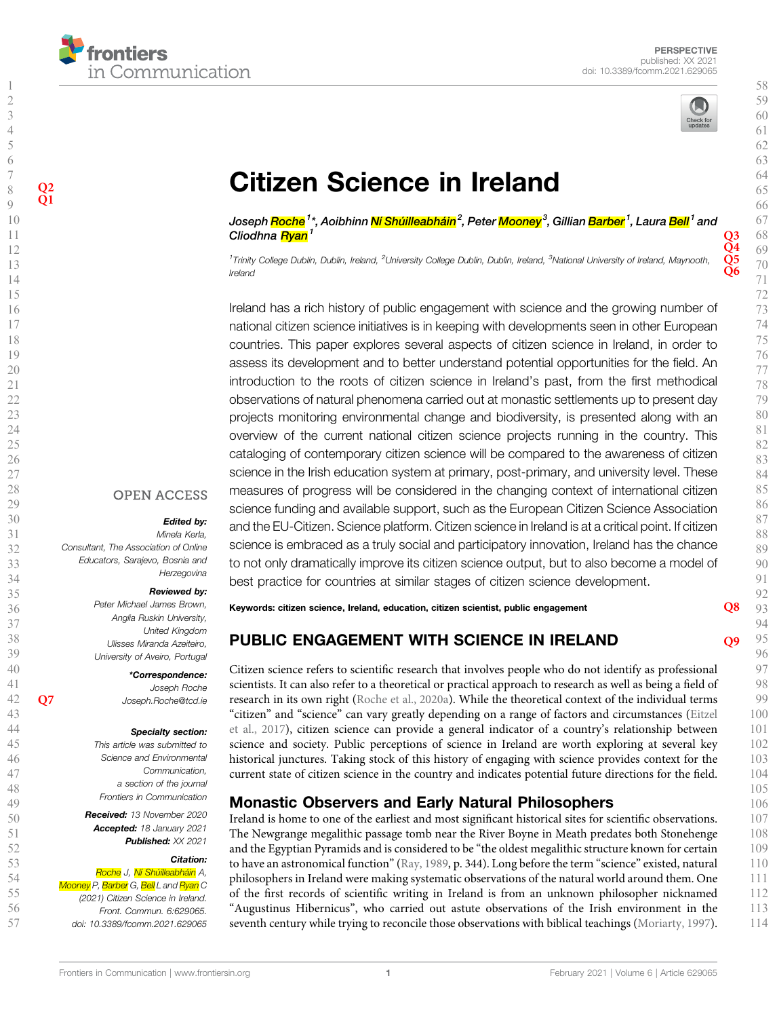

 $\frac{Q2}{Q1}$ 



# **[Citizen Science in Ireland](https://www.frontiersin.org/articles/10.3389/fcomm.2021.629065/full)**

Joseph <mark>Roche<sup>1</sup>\*, Aoibhinn Ní Shúilleabháin<sup>2</sup>, Peter <mark>Moonev</mark><sup>3</sup>, Gillian <mark>Barber <sup>1</sup>, La</mark>ura <mark>Bell</mark> <sup>1</sup> and</mark> Cliodhna  $R$ yan<sup>1</sup> Q3

Ireland

Ireland has a rich history of public engagement with science and the growing number of national citizen science initiatives is in keeping with developments seen in other European countries. This paper explores several aspects of citizen science in Ireland, in order to assess its development and to better understand potential opportunities for the field. An introduction to the roots of citizen science in Ireland's past, from the first methodical observations of natural phenomena carried out at monastic settlements up to present day projects monitoring environmental change and biodiversity, is presented along with an overview of the current national citizen science projects running in the country. This cataloging of contemporary citizen science will be compared to the awareness of citizen science in the Irish education system at primary, post-primary, and university level. These measures of progress will be considered in the changing context of international citizen science funding and available support, such as the European Citizen Science Association and the EU-Citizen. Science platform. Citizen science in Ireland is at a critical point. If citizen science is embraced as a truly social and participatory innovation, Ireland has the chance to not only dramatically improve its citizen science output, but to also become a model of best practice for countries at similar stages of citizen science development.

#### **OPEN ACCESS**

#### Edited by:

Consultant, The Association of Online

#### Reviewed by:

Peter Michael James Brown, Anglia Ruskin University, United Kingdom Ulisses Miranda Azeiteiro, University of Aveiro, Portugal

\*Correspondence: Q7 [Joseph.Roche@tcd.ie](mailto:Joseph.Roche@tcd.ie)

#### Specialty section:

Received: 13 November 2020

#### Citation:

Roche J, Ní Shúilleabháin A, Mooney P, <mark>Barber</mark> G, <mark>Bell</mark> L and <mark>Ryan</mark> C

<sup>1</sup>Trinity College Dublin, Dublin, Ireland, <sup>2</sup>University College Dublin, Dublin, Ireland, <sup>3</sup>National University of Ireland, Maynooth, Q5<br>Ireland

## Minela Kerla,

Educators, Sarajevo, Bosnia and Herzegovina

Joseph Roche

This article was submitted to Science and Environmental Communication, a section of the journal Frontiers in Communication

Accepted: 18 January 2021 Published: XX 2021

## (2021) Citizen Science in Ireland. Front. Commun. 6:629065.

doi: [10.3389/fcomm.2021.629065](https://doi.org/10.3389/fcomm.2021.629065)

#### Keywords: citizen science, Ireland, education, citizen scientist, public engagement  $\overline{\text{O8}}$

## PUBLIC ENGAGEMENT WITH SCIENCE IN IRELAND  $^{09}$

Citizen science refers to scientific research that involves people who do not identify as professional scientists. It can also refer to a theoretical or practical approach to research as well as being a field of research in its own right (Roche et al., 2020a). While the theoretical context of the individual terms "citizen" and "science" can vary greatly depending on a range of factors and circumstances (Eitzel et al., 2017), citizen science can provide a general indicator of a country's relationship between science and society. Public perceptions of science in Ireland are worth exploring at several key historical junctures. Taking stock of this history of engaging with science provides context for the current state of citizen science in the country and indicates potential future directions for the field.

#### Monastic Observers and Early Natural Philosophers

Ireland is home to one of the earliest and most significant historical sites for scientific observations. The Newgrange megalithic passage tomb near the River Boyne in Meath predates both Stonehenge and the Egyptian Pyramids and is considered to be "the oldest megalithic structure known for certain to have an astronomical function"(Ray, 1989, p. 344). Long before the term "science" existed, natural philosophers in Ireland were making systematic observations of the natural world around them. One of the first records of scientific writing in Ireland is from an unknown philosopher nicknamed "Augustinus Hibernicus", who carried out astute observations of the Irish environment in the seventh century while trying to reconcile those observations with biblical teachings (Moriarty, 1997).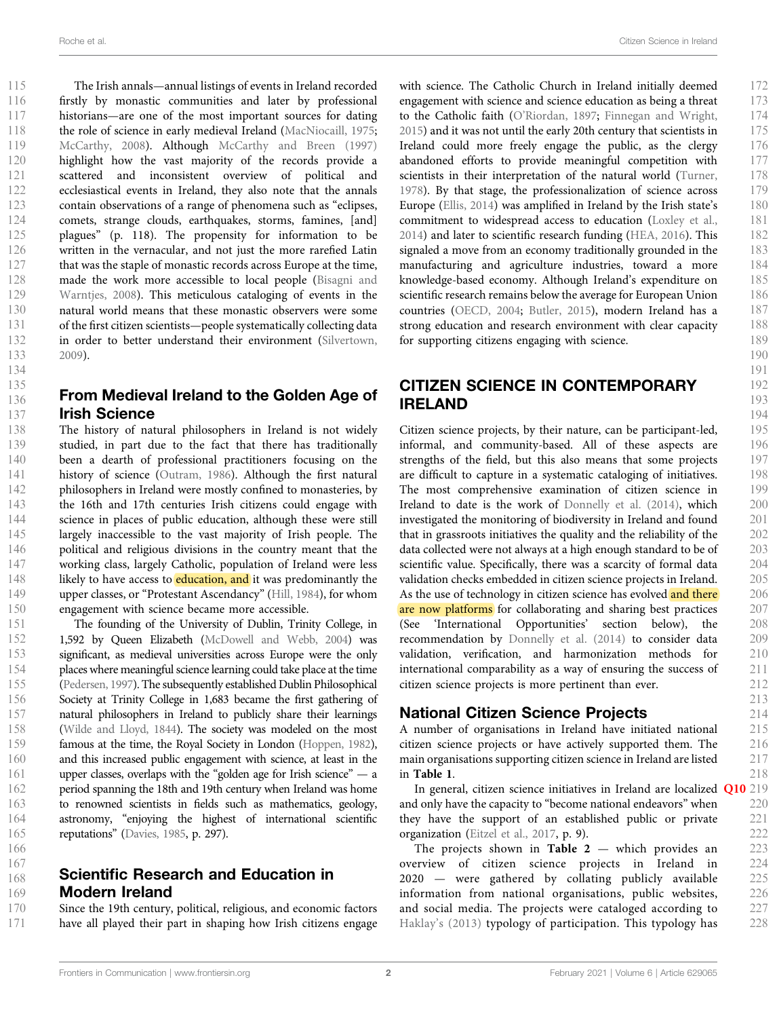The Irish annals—annual listings of events in Ireland recorded firstly by monastic communities and later by professional historians—are one of the most important sources for dating the role of science in early medieval Ireland (MacNiocaill, 1975; McCarthy, 2008). Although McCarthy and Breen (1997) highlight how the vast majority of the records provide a scattered and inconsistent overview of political and ecclesiastical events in Ireland, they also note that the annals contain observations of a range of phenomena such as "eclipses, comets, strange clouds, earthquakes, storms, famines, [and] plagues" (p. 118). The propensity for information to be written in the vernacular, and not just the more rarefied Latin that was the staple of monastic records across Europe at the time, made the work more accessible to local people (Bisagni and Warntjes, 2008). This meticulous cataloging of events in the natural world means that these monastic observers were some of the first citizen scientists—people systematically collecting data in order to better understand their environment (Silvertown, 2009).

## From Medieval Ireland to the Golden Age of Irish Science

The history of natural philosophers in Ireland is not widely studied, in part due to the fact that there has traditionally been a dearth of professional practitioners focusing on the history of science (Outram, 1986). Although the first natural philosophers in Ireland were mostly confined to monasteries, by the 16th and 17th centuries Irish citizens could engage with science in places of public education, although these were still largely inaccessible to the vast majority of Irish people. The political and religious divisions in the country meant that the working class, largely Catholic, population of Ireland were less likely to have access to **education, and** it was predominantly the upper classes, or "Protestant Ascendancy" (Hill, 1984), for whom engagement with science became more accessible.

The founding of the University of Dublin, Trinity College, in 1,592 by Queen Elizabeth (McDowell and Webb, 2004) was significant, as medieval universities across Europe were the only places where meaningful science learning could take place at the time (Pedersen, 1997). The subsequently established Dublin Philosophical Society at Trinity College in 1,683 became the first gathering of natural philosophers in Ireland to publicly share their learnings (Wilde and Lloyd, 1844). The society was modeled on the most famous at the time, the Royal Society in London (Hoppen, 1982), and this increased public engagement with science, at least in the upper classes, overlaps with the "golden age for Irish science" — a period spanning the 18th and 19th century when Ireland was home to renowned scientists in fields such as mathematics, geology, astronomy, "enjoying the highest of international scientific reputations" (Davies, 1985, p. 297).

#### Scientific Research and Education in Modern Ireland 167 168 169

Since the 19th century, political, religious, and economic factors have all played their part in shaping how Irish citizens engage 170 171

with science. The Catholic Church in Ireland initially deemed engagement with science and science education as being a threat to the Catholic faith (O'Riordan, 1897; Finnegan and Wright, 2015) and it was not until the early 20th century that scientists in Ireland could more freely engage the public, as the clergy abandoned efforts to provide meaningful competition with scientists in their interpretation of the natural world (Turner, 1978). By that stage, the professionalization of science across Europe (Ellis, 2014) was amplified in Ireland by the Irish state's commitment to widespread access to education (Loxley et al., 2014) and later to scientific research funding (HEA, 2016). This signaled a move from an economy traditionally grounded in the manufacturing and agriculture industries, toward a more knowledge-based economy. Although Ireland's expenditure on scientific research remains below the average for European Union countries (OECD, 2004; Butler, 2015), modern Ireland has a strong education and research environment with clear capacity for supporting citizens engaging with science.

### CITIZEN SCIENCE IN CONTEMPORARY IRELAND

Citizen science projects, by their nature, can be participant-led, informal, and community-based. All of these aspects are strengths of the field, but this also means that some projects are difficult to capture in a systematic cataloging of initiatives. The most comprehensive examination of citizen science in Ireland to date is the work of Donnelly et al. (2014), which investigated the monitoring of biodiversity in Ireland and found that in grassroots initiatives the quality and the reliability of the data collected were not always at a high enough standard to be of scientific value. Specifically, there was a scarcity of formal data validation checks embedded in citizen science projects in Ireland. As the use of technology in citizen science has evolved and there are now platforms for collaborating and sharing best practices (See 'International Opportunities' section below), the recommendation by Donnelly et al. (2014) to consider data validation, verification, and harmonization methods for international comparability as a way of ensuring the success of citizen science projects is more pertinent than ever.

#### National Citizen Science Projects

A number of organisations in Ireland have initiated national citizen science projects or have actively supported them. The main organisations supporting citizen science in Ireland are listed in Table 1.

In general, citizen science initiatives in Ireland are localized Q10 219 and only have the capacity to "become national endeavors" when they have the support of an established public or private organization (Eitzel et al., 2017, p. 9).

The projects shown in Table  $2$  — which provides an overview of citizen science projects in Ireland in 2020 — were gathered by collating publicly available information from national organisations, public websites, and social media. The projects were cataloged according to Haklay's (2013) typology of participation. This typology has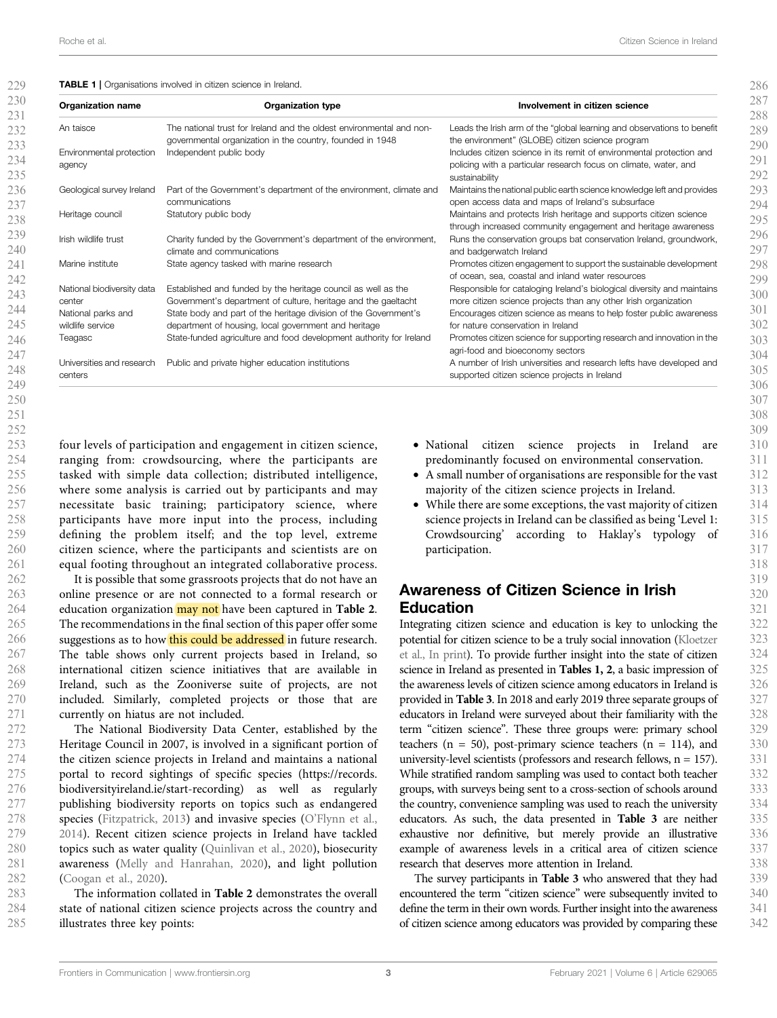#### TABLE 1 | Organisations involved in citizen science in Ireland.

| <b>Organization name</b>             | <b>Organization type</b>                                                                                                          | Involvement in citizen science                                                                                                             |
|--------------------------------------|-----------------------------------------------------------------------------------------------------------------------------------|--------------------------------------------------------------------------------------------------------------------------------------------|
| An taisce                            | The national trust for Ireland and the oldest environmental and non-<br>governmental organization in the country, founded in 1948 | Leads the Irish arm of the "global learning and observations to benefit<br>the environment" (GLOBE) citizen science program                |
| Environmental protection             | Independent public body                                                                                                           | Includes citizen science in its remit of environmental protection and                                                                      |
| agency                               |                                                                                                                                   | policing with a particular research focus on climate, water, and<br>sustainability                                                         |
| Geological survey Ireland            | Part of the Government's department of the environment, climate and<br>communications                                             | Maintains the national public earth science knowledge left and provides<br>open access data and maps of Ireland's subsurface               |
| Heritage council                     | Statutory public body                                                                                                             | Maintains and protects Irish heritage and supports citizen science<br>through increased community engagement and heritage awareness        |
| Irish wildlife trust                 | Charity funded by the Government's department of the environment,<br>climate and communications                                   | Runs the conservation groups bat conservation Ireland, groundwork,<br>and badgerwatch Ireland                                              |
| Marine institute                     | State agency tasked with marine research                                                                                          | Promotes citizen engagement to support the sustainable development<br>of ocean, sea, coastal and inland water resources                    |
| National biodiversity data<br>center | Established and funded by the heritage council as well as the<br>Government's department of culture, heritage and the gaeltacht   | Responsible for cataloging Ireland's biological diversity and maintains<br>more citizen science projects than any other Irish organization |
| National parks and                   | State body and part of the heritage division of the Government's                                                                  | Encourages citizen science as means to help foster public awareness                                                                        |
| wildlife service                     | department of housing, local government and heritage                                                                              | for nature conservation in Ireland                                                                                                         |
| Teagasc                              | State-funded agriculture and food development authority for Ireland                                                               | Promotes citizen science for supporting research and innovation in the<br>agri-food and bioeconomy sectors                                 |
| Universities and research<br>centers | Public and private higher education institutions                                                                                  | A number of Irish universities and research lefts have developed and<br>supported citizen science projects in Ireland                      |

four levels of participation and engagement in citizen science, ranging from: crowdsourcing, where the participants are tasked with simple data collection; distributed intelligence, where some analysis is carried out by participants and may necessitate basic training; participatory science, where participants have more input into the process, including defining the problem itself; and the top level, extreme citizen science, where the participants and scientists are on equal footing throughout an integrated collaborative process.

It is possible that some grassroots projects that do not have an online presence or are not connected to a formal research or education organization may not have been captured in Table 2. The recommendations in the final section of this paper offer some suggestions as to how this could be addressed in future research. The table shows only current projects based in Ireland, so international citizen science initiatives that are available in Ireland, such as the Zooniverse suite of projects, are not included. Similarly, completed projects or those that are currently on hiatus are not included.

The National Biodiversity Data Center, established by the Heritage Council in 2007, is involved in a significant portion of the citizen science projects in Ireland and maintains a national portal to record sightings of specific species ([https://records.](https://records.biodiversityireland.ie/start-recording) [biodiversityireland.ie/start-recording\)](https://records.biodiversityireland.ie/start-recording) as well as regularly publishing biodiversity reports on topics such as endangered species (Fitzpatrick, 2013) and invasive species (O'Flynn et al., 2014). Recent citizen science projects in Ireland have tackled topics such as water quality (Quinlivan et al., 2020), biosecurity awareness (Melly and Hanrahan, 2020), and light pollution (Coogan et al., 2020).

The information collated in Table 2 demonstrates the overall state of national citizen science projects across the country and illustrates three key points: 283 284 285

- National citizen science projects in Ireland are predominantly focused on environmental conservation.
- A small number of organisations are responsible for the vast majority of the citizen science projects in Ireland.
- While there are some exceptions, the vast majority of citizen science projects in Ireland can be classified as being 'Level 1: Crowdsourcing' according to Haklay's typology of participation.

## Awareness of Citizen Science in Irish Education

Integrating citizen science and education is key to unlocking the potential for citizen science to be a truly social innovation (Kloetzer et al., In print). To provide further insight into the state of citizen science in Ireland as presented in Tables 1, 2, a basic impression of the awareness levels of citizen science among educators in Ireland is provided in Table 3. In 2018 and early 2019 three separate groups of educators in Ireland were surveyed about their familiarity with the term "citizen science". These three groups were: primary school teachers ( $n = 50$ ), post-primary science teachers ( $n = 114$ ), and university-level scientists (professors and research fellows,  $n = 157$ ). While stratified random sampling was used to contact both teacher groups, with surveys being sent to a cross-section of schools around the country, convenience sampling was used to reach the university educators. As such, the data presented in Table 3 are neither exhaustive nor definitive, but merely provide an illustrative example of awareness levels in a critical area of citizen science research that deserves more attention in Ireland.

The survey participants in Table 3 who answered that they had encountered the term "citizen science" were subsequently invited to define the term in their own words. Further insight into the awareness of citizen science among educators was provided by comparing these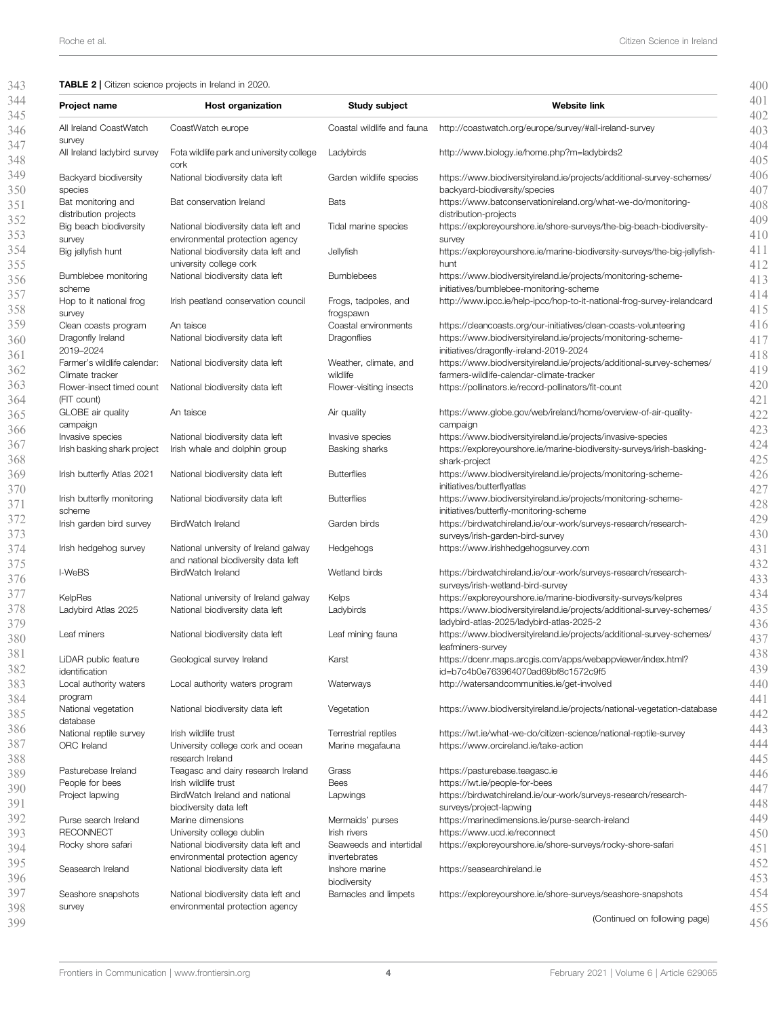#### TABLE 2 | Citizen science projects in Ireland in 2020.

| Project name                                 | <b>Host organization</b>                                               | Study subject                           | <b>Website link</b>                                                                                                                 |
|----------------------------------------------|------------------------------------------------------------------------|-----------------------------------------|-------------------------------------------------------------------------------------------------------------------------------------|
|                                              |                                                                        |                                         |                                                                                                                                     |
| All Ireland CoastWatch<br>survey             | CoastWatch europe                                                      | Coastal wildlife and fauna              | http://coastwatch.org/europe/survey/#all-ireland-survey                                                                             |
| All Ireland ladybird survey                  | Fota wildlife park and university college                              | Ladybirds                               | http://www.biology.ie/home.php?m=ladybirds2                                                                                         |
| Backyard biodiversity                        | cork<br>National biodiversity data left                                | Garden wildlife species                 | https://www.biodiversityireland.ie/projects/additional-survey-schemes/                                                              |
| species<br>Bat monitoring and                | Bat conservation Ireland                                               | <b>Bats</b>                             | backyard-biodiversity/species<br>https://www.batconservationireland.org/what-we-do/monitoring-                                      |
| distribution projects                        |                                                                        |                                         | distribution-projects                                                                                                               |
| Big beach biodiversity                       | National biodiversity data left and                                    | Tidal marine species                    | https://exploreyourshore.ie/shore-surveys/the-big-beach-biodiversity-                                                               |
| survey<br>Big jellyfish hunt                 | environmental protection agency<br>National biodiversity data left and | Jellyfish                               | survey<br>https://exploreyourshore.ie/marine-biodiversity-surveys/the-big-jellyfish-                                                |
|                                              | university college cork                                                |                                         | hunt                                                                                                                                |
| Bumblebee monitoring                         | National biodiversity data left                                        | <b>Bumblebees</b>                       | https://www.biodiversityireland.ie/projects/monitoring-scheme-                                                                      |
| scheme<br>Hop to it national frog            | Irish peatland conservation council                                    | Frogs, tadpoles, and                    | initiatives/bumblebee-monitoring-scheme<br>http://www.ipcc.ie/help-ipcc/hop-to-it-national-frog-survey-irelandcard                  |
| survey                                       |                                                                        | frogspawn                               |                                                                                                                                     |
| Clean coasts program<br>Dragonfly Ireland    | An taisce<br>National biodiversity data left                           | Coastal environments<br>Dragonflies     | https://cleancoasts.org/our-initiatives/clean-coasts-volunteering<br>https://www.biodiversityireland.ie/projects/monitoring-scheme- |
| 2019-2024                                    |                                                                        |                                         | initiatives/dragonfly-ireland-2019-2024                                                                                             |
| Farmer's wildlife calendar:                  | National biodiversity data left                                        | Weather, climate, and                   | https://www.biodiversityireland.ie/projects/additional-survey-schemes/                                                              |
| Climate tracker<br>Flower-insect timed count | National biodiversity data left                                        | wildlife<br>Flower-visiting insects     | farmers-wildlife-calendar-climate-tracker<br>https://pollinators.ie/record-pollinators/fit-count                                    |
| (FIT count)                                  |                                                                        |                                         |                                                                                                                                     |
| GLOBE air quality                            | An taisce                                                              | Air quality                             | https://www.globe.gov/web/ireland/home/overview-of-air-quality-                                                                     |
| campaign<br>Invasive species                 | National biodiversity data left                                        | Invasive species                        | campaign<br>https://www.biodiversityireland.ie/projects/invasive-species                                                            |
| Irish basking shark project                  | Irish whale and dolphin group                                          | Basking sharks                          | https://exploreyourshore.ie/marine-biodiversity-surveys/irish-basking-                                                              |
|                                              |                                                                        |                                         | shark-project                                                                                                                       |
| Irish butterfly Atlas 2021                   | National biodiversity data left                                        | <b>Butterflies</b>                      | https://www.biodiversityireland.ie/projects/monitoring-scheme-<br>initiatives/butterflyatlas                                        |
| Irish butterfly monitoring                   | National biodiversity data left                                        | <b>Butterflies</b>                      | https://www.biodiversityireland.ie/projects/monitoring-scheme-                                                                      |
| scheme                                       | BirdWatch Ireland                                                      | Garden birds                            | initiatives/butterfly-monitoring-scheme<br>https://birdwatchireland.ie/our-work/surveys-research/research-                          |
| Irish garden bird survey                     |                                                                        |                                         | surveys/irish-garden-bird-survey                                                                                                    |
| Irish hedgehog survey                        | National university of Ireland galway                                  | Hedgehogs                               | https://www.irishhedgehogsurvey.com                                                                                                 |
| I-WeBS                                       | and national biodiversity data left<br>BirdWatch Ireland               | Wetland birds                           | https://birdwatchireland.ie/our-work/surveys-research/research-                                                                     |
|                                              |                                                                        |                                         | surveys/irish-wetland-bird-survey                                                                                                   |
| KelpRes                                      | National university of Ireland galway                                  | Kelps                                   | https://exploreyourshore.ie/marine-biodiversity-surveys/kelpres                                                                     |
| Ladybird Atlas 2025                          | National biodiversity data left                                        | Ladybirds                               | https://www.biodiversityireland.ie/projects/additional-survey-schemes/<br>ladybird-atlas-2025/ladybird-atlas-2025-2                 |
| Leaf miners                                  | National biodiversity data left                                        | Leaf mining fauna                       | https://www.biodiversityireland.ie/projects/additional-survey-schemes/                                                              |
| LiDAR public feature                         | Geological survey Ireland                                              | Karst                                   | leafminers-survey<br>https://dcenr.maps.arcgis.com/apps/webappviewer/index.html?                                                    |
| identification                               |                                                                        |                                         | id=b7c4b0e763964070ad69bf8c1572c9f5                                                                                                 |
| Local authority waters                       | Local authority waters program                                         | Waterways                               | http://watersandcommunities.ie/get-involved                                                                                         |
| program<br>National vegetation               | National biodiversity data left                                        | Vegetation                              | https://www.biodiversityireland.ie/projects/national-vegetation-database                                                            |
| database                                     |                                                                        |                                         |                                                                                                                                     |
| National reptile survey                      | Irish wildlife trust                                                   | Terrestrial reptiles                    | https://iwt.ie/what-we-do/citizen-science/national-reptile-survey                                                                   |
| ORC Ireland                                  | University college cork and ocean<br>research Ireland                  | Marine megafauna                        | https://www.orcireland.ie/take-action                                                                                               |
| Pasturebase Ireland                          | Teagasc and dairy research Ireland                                     | Grass                                   | https://pasturebase.teagasc.ie                                                                                                      |
| People for bees                              | Irish wildlife trust                                                   | Bees                                    | https://iwt.ie/people-for-bees                                                                                                      |
| Project lapwing                              | BirdWatch Ireland and national<br>biodiversity data left               | Lapwings                                | https://birdwatchireland.ie/our-work/surveys-research/research-<br>surveys/project-lapwing                                          |
| Purse search Ireland                         | Marine dimensions                                                      | Mermaids' purses                        | https://marinedimensions.ie/purse-search-ireland                                                                                    |
| <b>RECONNECT</b>                             | University college dublin<br>National biodiversity data left and       | Irish rivers<br>Seaweeds and intertidal | https://www.ucd.ie/reconnect<br>https://exploreyourshore.ie/shore-surveys/rocky-shore-safari                                        |
| Rocky shore safari                           | environmental protection agency                                        | invertebrates                           |                                                                                                                                     |
| Seasearch Ireland                            | National biodiversity data left                                        | Inshore marine                          | https://seasearchireland.ie                                                                                                         |
| Seashore snapshots                           | National biodiversity data left and                                    | biodiversity<br>Barnacles and limpets   | https://exploreyourshore.ie/shore-surveys/seashore-snapshots                                                                        |
| survey                                       | environmental protection agency                                        |                                         |                                                                                                                                     |
|                                              |                                                                        |                                         | (Continued on following page)                                                                                                       |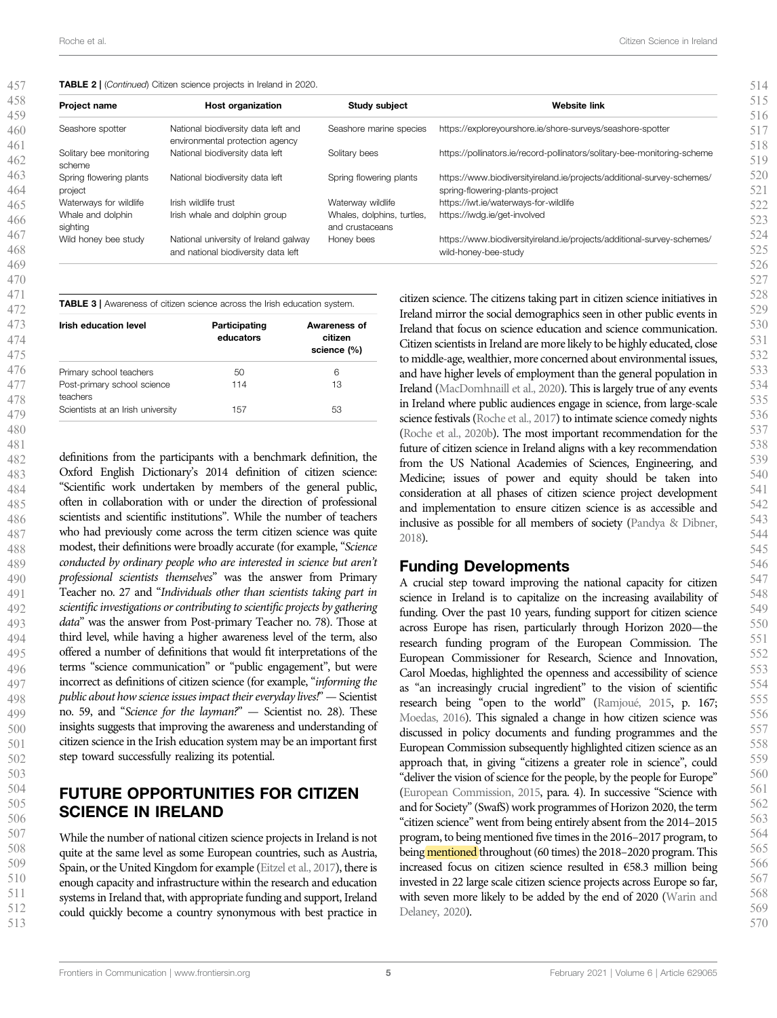| Project name                       | <b>Host organization</b>                                                     | <b>Study subject</b>                          | <b>Website link</b>                                                                                       |
|------------------------------------|------------------------------------------------------------------------------|-----------------------------------------------|-----------------------------------------------------------------------------------------------------------|
| Seashore spotter                   | National biodiversity data left and<br>environmental protection agency       | Seashore marine species                       | https://exploreyourshore.ie/shore-surveys/seashore-spotter                                                |
| Solitary bee monitoring<br>scheme  | National biodiversity data left                                              | Solitary bees                                 | https://pollinators.ie/record-pollinators/solitary-bee-monitoring-scheme                                  |
| Spring flowering plants<br>project | National biodiversity data left                                              | Spring flowering plants                       | https://www.biodiversityireland.ie/projects/additional-survey-schemes/<br>spring-flowering-plants-project |
| Waterways for wildlife             | Irish wildlife trust                                                         | Waterway wildlife                             | https://iwt.ie/waterways-for-wildlife                                                                     |
| Whale and dolphin<br>sighting      | Irish whale and dolphin group                                                | Whales, dolphins, turtles,<br>and crustaceans | https://iwdg.ie/get-involved                                                                              |
| Wild honey bee study               | National university of Ireland galway<br>and national biodiversity data left | Honey bees                                    | https://www.biodiversityireland.ie/projects/additional-survey-schemes/<br>wild-honey-bee-study            |

| <b>Irish education level</b>            | Participating<br>educators | Awareness of<br>citizen<br>science (%) |  |
|-----------------------------------------|----------------------------|----------------------------------------|--|
| Primary school teachers                 | 50                         | 6                                      |  |
| Post-primary school science<br>teachers | 114                        | 13                                     |  |
| Scientists at an Irish university       | 157                        | 53                                     |  |

definitions from the participants with a benchmark definition, the Oxford English Dictionary's 2014 definition of citizen science: "Scientific work undertaken by members of the general public, often in collaboration with or under the direction of professional scientists and scientific institutions". While the number of teachers who had previously come across the term citizen science was quite modest, their definitions were broadly accurate (for example, "Science conducted by ordinary people who are interested in science but aren't professional scientists themselves" was the answer from Primary Teacher no. 27 and "Individuals other than scientists taking part in scientific investigations or contributing to scientific projects by gathering data" was the answer from Post-primary Teacher no. 78). Those at third level, while having a higher awareness level of the term, also offered a number of definitions that would fit interpretations of the terms "science communication" or "public engagement", but were incorrect as definitions of citizen science (for example, "informing the public about how science issues impact their everyday lives!" — Scientist no. 59, and "Science for the layman?" — Scientist no. 28). These insights suggests that improving the awareness and understanding of citizen science in the Irish education system may be an important first step toward successfully realizing its potential.

## FUTURE OPPORTUNITIES FOR CITIZEN SCIENCE IN IRELAND

While the number of national citizen science projects in Ireland is not quite at the same level as some European countries, such as Austria, Spain, or the United Kingdom for example (Eitzel et al., 2017), there is enough capacity and infrastructure within the research and education systems in Ireland that, with appropriate funding and support, Ireland could quickly become a country synonymous with best practice in citizen science. The citizens taking part in citizen science initiatives in Ireland mirror the social demographics seen in other public events in Ireland that focus on science education and science communication. Citizen scientists in Ireland are more likely to be highly educated, close to middle-age, wealthier, more concerned about environmental issues, and have higher levels of employment than the general population in Ireland (MacDomhnaill et al., 2020). This is largely true of any events in Ireland where public audiences engage in science, from large-scale science festivals (Roche et al., 2017) to intimate science comedy nights (Roche et al., 2020b). The most important recommendation for the future of citizen science in Ireland aligns with a key recommendation from the US National Academies of Sciences, Engineering, and Medicine; issues of power and equity should be taken into consideration at all phases of citizen science project development and implementation to ensure citizen science is as accessible and inclusive as possible for all members of society (Pandya & Dibner, 2018).

## Funding Developments

A crucial step toward improving the national capacity for citizen science in Ireland is to capitalize on the increasing availability of funding. Over the past 10 years, funding support for citizen science across Europe has risen, particularly through Horizon 2020—the research funding program of the European Commission. The European Commissioner for Research, Science and Innovation, Carol Moedas, highlighted the openness and accessibility of science as "an increasingly crucial ingredient" to the vision of scientific research being "open to the world" (Ramjoué, 2015, p. 167; Moedas, 2016). This signaled a change in how citizen science was discussed in policy documents and funding programmes and the European Commission subsequently highlighted citizen science as an approach that, in giving "citizens a greater role in science", could "deliver the vision of science for the people, by the people for Europe" (European Commission, 2015, para. 4). In successive "Science with and for Society"(SwafS) work programmes of Horizon 2020, the term "citizen science" went from being entirely absent from the 2014–2015 program, to being mentioned five times in the 2016–2017 program, to being mentioned throughout (60 times) the 2018–2020 program. This increased focus on citizen science resulted in €58.3 million being invested in 22 large scale citizen science projects across Europe so far, with seven more likely to be added by the end of 2020 (Warin and Delaney, 2020).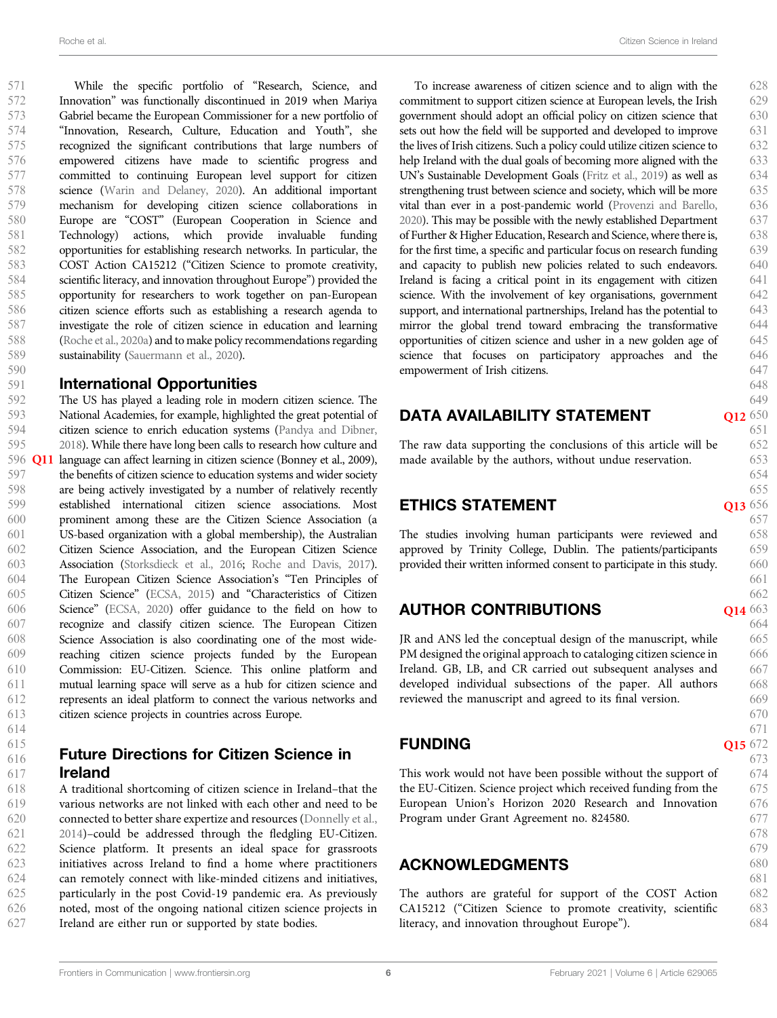585 586 587

588

589

590

591

592

594

While the specific portfolio of "Research, Science, and Innovation" was functionally discontinued in 2019 when Mariya Gabriel became the European Commissioner for a new portfolio of "Innovation, Research, Culture, Education and Youth", she recognized the significant contributions that large numbers of

empowered citizens have made to scientific progress and committed to continuing European level support for citizen science (Warin and Delaney, 2020). An additional important mechanism for developing citizen science collaborations in Europe are "COST" (European Cooperation in Science and Technology) actions, which provide invaluable funding opportunities for establishing research networks. In particular, the COST Action CA15212 ("Citizen Science to promote creativity, scientific literacy, and innovation throughout Europe") provided the opportunity for researchers to work together on pan-European citizen science efforts such as establishing a research agenda to investigate the role of citizen science in education and learning (Roche et al., 2020a) and to make policy recommendations regarding sustainability (Sauermann et al., 2020).

### International Opportunities

The US has played a leading role in modern citizen science. The National Academies, for example, highlighted the great potential of citizen science to enrich education systems (Pandya and Dibner, 2018). While there have long been calls to research how culture and language can affect learning in citizen science (Bonney et al., 2009), the benefits of citizen science to education systems and wider society are being actively investigated by a number of relatively recently established international citizen science associations. Most prominent among these are the Citizen Science Association (a US-based organization with a global membership), the Australian Citizen Science Association, and the European Citizen Science Association (Storksdieck et al., 2016; Roche and Davis, 2017). The European Citizen Science Association's "Ten Principles of Citizen Science" (ECSA, 2015) and "Characteristics of Citizen Science" (ECSA, 2020) offer guidance to the field on how to recognize and classify citizen science. The European Citizen Science Association is also coordinating one of the most widereaching citizen science projects funded by the European Commission: EU-Citizen. Science. This online platform and mutual learning space will serve as a hub for citizen science and represents an ideal platform to connect the various networks and citizen science projects in countries across Europe. 593 595 596 **Q11** 597 598 599 600 601 602 603 604 605 606 607 608 609 610 611 612 613

614 615

#### Future Directions for Citizen Science in Ireland 616 617

A traditional shortcoming of citizen science in Ireland–that the various networks are not linked with each other and need to be connected to better share expertize and resources (Donnelly et al., 2014)–could be addressed through the fledgling EU-Citizen. Science platform. It presents an ideal space for grassroots initiatives across Ireland to find a home where practitioners can remotely connect with like-minded citizens and initiatives, particularly in the post Covid-19 pandemic era. As previously noted, most of the ongoing national citizen science projects in Ireland are either run or supported by state bodies. 618 619 620 621 622 623 624 625 626 627

To increase awareness of citizen science and to align with the commitment to support citizen science at European levels, the Irish government should adopt an official policy on citizen science that sets out how the field will be supported and developed to improve the lives of Irish citizens. Such a policy could utilize citizen science to help Ireland with the dual goals of becoming more aligned with the UN's Sustainable Development Goals (Fritz et al., 2019) as well as strengthening trust between science and society, which will be more vital than ever in a post-pandemic world (Provenzi and Barello, 2020). This may be possible with the newly established Department of Further & Higher Education, Research and Science, where there is, for the first time, a specific and particular focus on research funding and capacity to publish new policies related to such endeavors. Ireland is facing a critical point in its engagement with citizen science. With the involvement of key organisations, government support, and international partnerships, Ireland has the potential to mirror the global trend toward embracing the transformative opportunities of citizen science and usher in a new golden age of science that focuses on participatory approaches and the empowerment of Irish citizens. 628 629 630 631 632 633 634 635 636 637 638 639 640 641 642 643 644 645 646 647

## DATA AVAILABILITY STATEMENT

Q12 650 651

648 649

The raw data supporting the conclusions of this article will be made available by the authors, without undue reservation.

## **ETHICS STATEMENT**

The studies involving human participants were reviewed and approved by Trinity College, Dublin. The patients/participants provided their written informed consent to participate in this study.

## **AUTHOR CONTRIBUTIONS**

JR and ANS led the conceptual design of the manuscript, while PM designed the original approach to cataloging citizen science in Ireland. GB, LB, and CR carried out subsequent analyses and developed individual subsections of the paper. All authors reviewed the manuscript and agreed to its final version.

## **FUNDING**

Q15 672 673

This work would not have been possible without the support of the EU-Citizen. Science project which received funding from the European Union's Horizon 2020 Research and Innovation Program under Grant Agreement no. 824580.

## ACKNOWLEDGMENTS

The authors are grateful for support of the COST Action CA15212 ("Citizen Science to promote creativity, scientific literacy, and innovation throughout Europe").